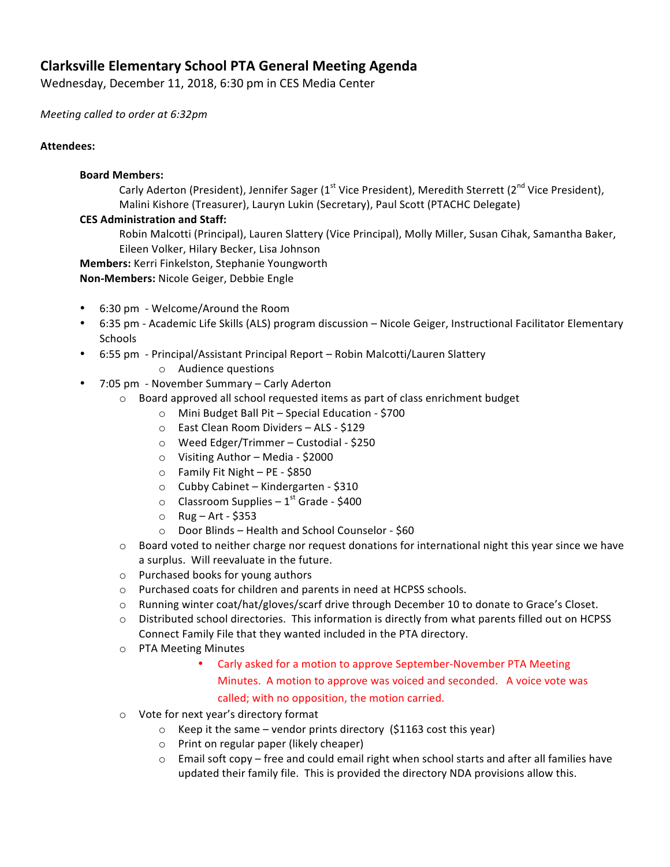# **Clarksville Elementary School PTA General Meeting Agenda**

Wednesday, December 11, 2018, 6:30 pm in CES Media Center

*Meeting called to order at 6:32pm*

## **Attendees:**

## **Board Members:**

Carly Aderton (President), Jennifer Sager (1<sup>st</sup> Vice President), Meredith Sterrett (2<sup>nd</sup> Vice President), Malini Kishore (Treasurer), Lauryn Lukin (Secretary), Paul Scott (PTACHC Delegate)

## **CES Administration and Staff:**

Robin Malcotti (Principal), Lauren Slattery (Vice Principal), Molly Miller, Susan Cihak, Samantha Baker, Eileen Volker, Hilary Becker, Lisa Johnson

**Members:** Kerri Finkelston, Stephanie Youngworth

## **Non-Members:** Nicole Geiger, Debbie Engle

- 6:30 pm Welcome/Around the Room
- 6:35 pm Academic Life Skills (ALS) program discussion Nicole Geiger, Instructional Facilitator Elementary Schools
- 6:55 pm Principal/Assistant Principal Report Robin Malcotti/Lauren Slattery
	- $\circ$  Audience questions
- 7:05 pm November Summary Carly Aderton
	- $\circ$  Board approved all school requested items as part of class enrichment budget
		- $\circ$  Mini Budget Ball Pit Special Education \$700
			- o East Clean Room Dividers ALS \$129
			- $\circ$  Weed Edger/Trimmer Custodial \$250
			- $\circ$  Visiting Author Media \$2000
			- $\circ$  Family Fit Night PE \$850
		- o Cubby Cabinet Kindergarten \$310
		- $\circ$  Classroom Supplies 1<sup>st</sup> Grade \$400
		- $\circ$  Rug Art \$353
		- $\circ$  Door Blinds Health and School Counselor \$60
	- $\circ$  Board voted to neither charge nor request donations for international night this year since we have a surplus. Will reevaluate in the future.
	- $\circ$  Purchased books for young authors
	- o Purchased coats for children and parents in need at HCPSS schools.
	- o Running winter coat/hat/gloves/scarf drive through December 10 to donate to Grace's Closet.
	- $\circ$  Distributed school directories. This information is directly from what parents filled out on HCPSS Connect Family File that they wanted included in the PTA directory.
	- o PTA Meeting Minutes
		- Carly asked for a motion to approve September-November PTA Meeting Minutes. A motion to approve was voiced and seconded. A voice vote was called; with no opposition, the motion carried.
	- $\circ$  Vote for next year's directory format
		- $\circ$  Keep it the same vendor prints directory (\$1163 cost this year)
		- $\circ$  Print on regular paper (likely cheaper)
		- $\circ$  Email soft copy free and could email right when school starts and after all families have updated their family file. This is provided the directory NDA provisions allow this.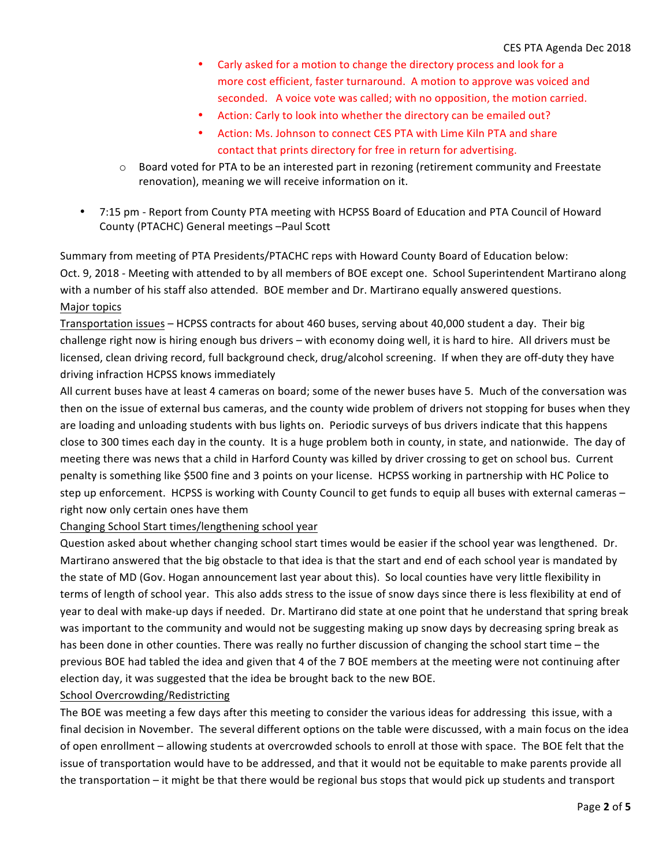- Carly asked for a motion to change the directory process and look for a more cost efficient, faster turnaround. A motion to approve was voiced and seconded. A voice vote was called; with no opposition, the motion carried.
- Action: Carly to look into whether the directory can be emailed out?
- Action: Ms. Johnson to connect CES PTA with Lime Kiln PTA and share contact that prints directory for free in return for advertising.
- $\circ$  Board voted for PTA to be an interested part in rezoning (retirement community and Freestate renovation), meaning we will receive information on it.
- 7:15 pm Report from County PTA meeting with HCPSS Board of Education and PTA Council of Howard County (PTACHC) General meetings -Paul Scott

Summary from meeting of PTA Presidents/PTACHC reps with Howard County Board of Education below: Oct. 9, 2018 - Meeting with attended to by all members of BOE except one. School Superintendent Martirano along with a number of his staff also attended. BOE member and Dr. Martirano equally answered questions. Major topics

Transportation issues – HCPSS contracts for about 460 buses, serving about 40,000 student a day. Their big challenge right now is hiring enough bus drivers – with economy doing well, it is hard to hire. All drivers must be licensed, clean driving record, full background check, drug/alcohol screening. If when they are off-duty they have driving infraction HCPSS knows immediately

All current buses have at least 4 cameras on board; some of the newer buses have 5. Much of the conversation was then on the issue of external bus cameras, and the county wide problem of drivers not stopping for buses when they are loading and unloading students with bus lights on. Periodic surveys of bus drivers indicate that this happens close to 300 times each day in the county. It is a huge problem both in county, in state, and nationwide. The day of meeting there was news that a child in Harford County was killed by driver crossing to get on school bus. Current penalty is something like \$500 fine and 3 points on your license. HCPSS working in partnership with HC Police to step up enforcement. HCPSS is working with County Council to get funds to equip all buses with external cameras right now only certain ones have them

Changing School Start times/lengthening school year

Question asked about whether changing school start times would be easier if the school year was lengthened. Dr. Martirano answered that the big obstacle to that idea is that the start and end of each school year is mandated by the state of MD (Gov. Hogan announcement last year about this). So local counties have very little flexibility in terms of length of school year. This also adds stress to the issue of snow days since there is less flexibility at end of year to deal with make-up days if needed. Dr. Martirano did state at one point that he understand that spring break was important to the community and would not be suggesting making up snow days by decreasing spring break as has been done in other counties. There was really no further discussion of changing the school start time – the previous BOE had tabled the idea and given that 4 of the 7 BOE members at the meeting were not continuing after election day, it was suggested that the idea be brought back to the new BOE.

## School Overcrowding/Redistricting

The BOE was meeting a few days after this meeting to consider the various ideas for addressing this issue, with a final decision in November. The several different options on the table were discussed, with a main focus on the idea of open enrollment – allowing students at overcrowded schools to enroll at those with space. The BOE felt that the issue of transportation would have to be addressed, and that it would not be equitable to make parents provide all the transportation – it might be that there would be regional bus stops that would pick up students and transport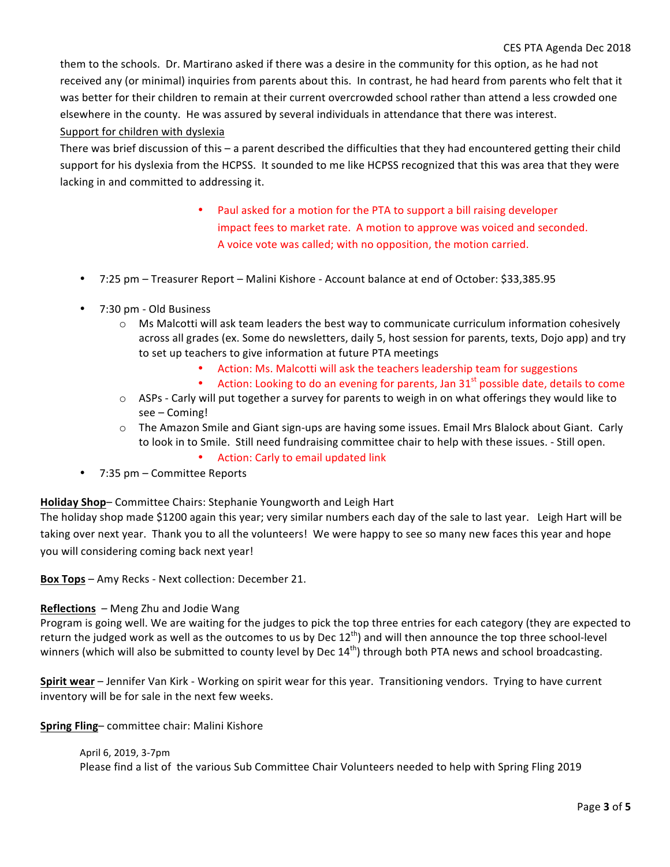#### CES PTA Agenda Dec 2018

them to the schools. Dr. Martirano asked if there was a desire in the community for this option, as he had not received any (or minimal) inquiries from parents about this. In contrast, he had heard from parents who felt that it was better for their children to remain at their current overcrowded school rather than attend a less crowded one elsewhere in the county. He was assured by several individuals in attendance that there was interest. Support for children with dyslexia

There was brief discussion of this  $-$  a parent described the difficulties that they had encountered getting their child support for his dyslexia from the HCPSS. It sounded to me like HCPSS recognized that this was area that they were lacking in and committed to addressing it.

- Paul asked for a motion for the PTA to support a bill raising developer impact fees to market rate. A motion to approve was voiced and seconded. A voice vote was called; with no opposition, the motion carried.
- 7:25 pm Treasurer Report Malini Kishore Account balance at end of October: \$33,385.95
- 7:30 pm - Old Business
	- $\circ$  Ms Malcotti will ask team leaders the best way to communicate curriculum information cohesively across all grades (ex. Some do newsletters, daily 5, host session for parents, texts, Dojo app) and try to set up teachers to give information at future PTA meetings
		- Action: Ms. Malcotti will ask the teachers leadership team for suggestions
		- Action: Looking to do an evening for parents, Jan  $31<sup>st</sup>$  possible date, details to come
	- $\circ$  ASPs Carly will put together a survey for parents to weigh in on what offerings they would like to see – Coming!
	- $\circ$  The Amazon Smile and Giant sign-ups are having some issues. Email Mrs Blalock about Giant. Carly to look in to Smile. Still need fundraising committee chair to help with these issues. - Still open.
		- Action: Carly to email updated link
- $7:35$  pm Committee Reports

**Holiday Shop–** Committee Chairs: Stephanie Youngworth and Leigh Hart

The holiday shop made \$1200 again this year; very similar numbers each day of the sale to last year. Leigh Hart will be taking over next year. Thank you to all the volunteers! We were happy to see so many new faces this year and hope you will considering coming back next year!

**Box Tops** – Amy Recks - Next collection: December 21.

## **Reflections** - Meng Zhu and Jodie Wang

Program is going well. We are waiting for the judges to pick the top three entries for each category (they are expected to return the judged work as well as the outcomes to us by Dec  $12^{th}$ ) and will then announce the top three school-level winners (which will also be submitted to county level by Dec  $14<sup>th</sup>$ ) through both PTA news and school broadcasting.

**Spirit wear** – Jennifer Van Kirk - Working on spirit wear for this year. Transitioning vendors. Trying to have current inventory will be for sale in the next few weeks.

**Spring Fling-** committee chair: Malini Kishore

## April 6, 2019, 3-7pm

Please find a list of the various Sub Committee Chair Volunteers needed to help with Spring Fling 2019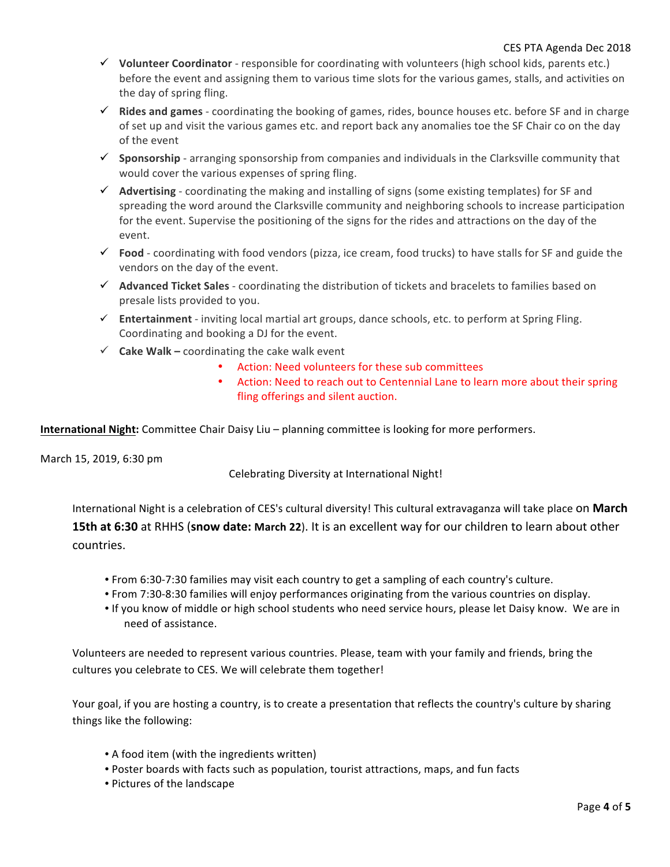- $\checkmark$  Volunteer Coordinator responsible for coordinating with volunteers (high school kids, parents etc.) before the event and assigning them to various time slots for the various games, stalls, and activities on the day of spring fling.
- $\checkmark$  **Rides and games** coordinating the booking of games, rides, bounce houses etc. before SF and in charge of set up and visit the various games etc. and report back any anomalies toe the SF Chair co on the day of the event
- $\checkmark$  Sponsorship arranging sponsorship from companies and individuals in the Clarksville community that would cover the various expenses of spring fling.
- $\checkmark$  Advertising coordinating the making and installing of signs (some existing templates) for SF and spreading the word around the Clarksville community and neighboring schools to increase participation for the event. Supervise the positioning of the signs for the rides and attractions on the day of the event.
- $\checkmark$  Food coordinating with food vendors (pizza, ice cream, food trucks) to have stalls for SF and guide the vendors on the day of the event.
- $\checkmark$  Advanced Ticket Sales coordinating the distribution of tickets and bracelets to families based on presale lists provided to you.
- $\checkmark$  Entertainment inviting local martial art groups, dance schools, etc. to perform at Spring Fling. Coordinating and booking a DJ for the event.
- $\checkmark$  **Cake Walk** coordinating the cake walk event
	- Action: Need volunteers for these sub committees
	- Action: Need to reach out to Centennial Lane to learn more about their spring fling offerings and silent auction.

**International Night:** Committee Chair Daisy Liu – planning committee is looking for more performers.

March 15, 2019, 6:30 pm

Celebrating Diversity at International Night!

International Night is a celebration of CES's cultural diversity! This cultural extravaganza will take place on March **15th at 6:30** at RHHS (snow date: March 22). It is an excellent way for our children to learn about other countries.

- From 6:30-7:30 families may visit each country to get a sampling of each country's culture.
- From 7:30-8:30 families will enjoy performances originating from the various countries on display.
- If you know of middle or high school students who need service hours, please let Daisy know. We are in need of assistance.

Volunteers are needed to represent various countries. Please, team with your family and friends, bring the cultures you celebrate to CES. We will celebrate them together!

Your goal, if you are hosting a country, is to create a presentation that reflects the country's culture by sharing things like the following:

- A food item (with the ingredients written)
- Poster boards with facts such as population, tourist attractions, maps, and fun facts
- Pictures of the landscape